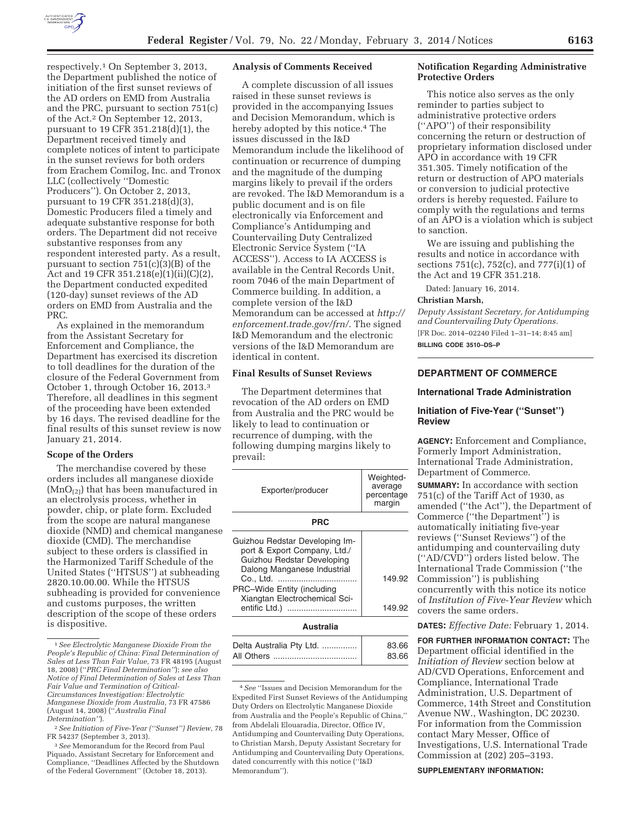

respectively.1 On September 3, 2013, the Department published the notice of initiation of the first sunset reviews of the AD orders on EMD from Australia and the PRC, pursuant to section 751(c) of the Act.2 On September 12, 2013, pursuant to 19 CFR 351.218(d)(1), the Department received timely and complete notices of intent to participate in the sunset reviews for both orders from Erachem Comilog, Inc. and Tronox LLC (collectively ''Domestic Producers''). On October 2, 2013, pursuant to 19 CFR 351.218(d)(3), Domestic Producers filed a timely and adequate substantive response for both orders. The Department did not receive substantive responses from any respondent interested party. As a result, pursuant to section 751(c)(3)(B) of the Act and 19 CFR 351.218(e)(1)(ii)(C)(2), the Department conducted expedited (120-day) sunset reviews of the AD orders on EMD from Australia and the PRC.

As explained in the memorandum from the Assistant Secretary for Enforcement and Compliance, the Department has exercised its discretion to toll deadlines for the duration of the closure of the Federal Government from October 1, through October 16, 2013.3 Therefore, all deadlines in this segment of the proceeding have been extended by 16 days. The revised deadline for the final results of this sunset review is now January 21, 2014.

### **Scope of the Orders**

The merchandise covered by these orders includes all manganese dioxide  $(MnO<sub>[2]</sub>)$  that has been manufactured in an electrolysis process, whether in powder, chip, or plate form. Excluded from the scope are natural manganese dioxide (NMD) and chemical manganese dioxide (CMD). The merchandise subject to these orders is classified in the Harmonized Tariff Schedule of the United States (''HTSUS'') at subheading 2820.10.00.00. While the HTSUS subheading is provided for convenience and customs purposes, the written description of the scope of these orders is dispositive.

3*See* Memorandum for the Record from Paul Piquado, Assistant Secretary for Enforcement and Compliance, ''Deadlines Affected by the Shutdown of the Federal Government'' (October 18, 2013).

## **Analysis of Comments Received**

A complete discussion of all issues raised in these sunset reviews is provided in the accompanying Issues and Decision Memorandum, which is hereby adopted by this notice.<sup>4</sup> The issues discussed in the I&D Memorandum include the likelihood of continuation or recurrence of dumping and the magnitude of the dumping margins likely to prevail if the orders are revoked. The I&D Memorandum is a public document and is on file electronically via Enforcement and Compliance's Antidumping and Countervailing Duty Centralized Electronic Service System (''IA ACCESS''). Access to IA ACCESS is available in the Central Records Unit, room 7046 of the main Department of Commerce building. In addition, a complete version of the I&D Memorandum can be accessed at *http:// enforcement.trade.gov/frn/*. The signed I&D Memorandum and the electronic versions of the I&D Memorandum are identical in content.

# **Final Results of Sunset Reviews**

The Department determines that revocation of the AD orders on EMD from Australia and the PRC would be likely to lead to continuation or recurrence of dumping, with the following dumping margins likely to prevail:

| Exporter/producer                                                                                                                                                                                           | Weighted-<br>average<br>percentage<br>margin |
|-------------------------------------------------------------------------------------------------------------------------------------------------------------------------------------------------------------|----------------------------------------------|
| PRC                                                                                                                                                                                                         |                                              |
| Guizhou Redstar Developing Im-<br>port & Export Company, Ltd./<br>Guizhou Redstar Developing<br>Dalong Manganese Industrial<br>PRC-Wide Entity (including<br>Xiangtan Electrochemical Sci-<br>entific Ltd.) | 149.92<br>149.92                             |
| Australia                                                                                                                                                                                                   |                                              |

| 83.66 |
|-------|
| 83.66 |
|       |

4*See* ''Issues and Decision Memorandum for the Expedited First Sunset Reviews of the Antidumping Duty Orders on Electrolytic Manganese Dioxide from Australia and the People's Republic of China,'' from Abdelali Elouaradia, Director, Office IV, Antidumping and Countervailing Duty Operations, to Christian Marsh, Deputy Assistant Secretary for Antidumping and Countervailing Duty Operations, dated concurrently with this notice (''I&D Memorandum'').

# **Notification Regarding Administrative Protective Orders**

This notice also serves as the only reminder to parties subject to administrative protective orders (''APO'') of their responsibility concerning the return or destruction of proprietary information disclosed under APO in accordance with 19 CFR 351.305. Timely notification of the return or destruction of APO materials or conversion to judicial protective orders is hereby requested. Failure to comply with the regulations and terms of an APO is a violation which is subject to sanction.

We are issuing and publishing the results and notice in accordance with sections 751(c), 752(c), and 777(i)(1) of the Act and 19 CFR 351.218.

Dated: January 16, 2014.

### **Christian Marsh,**

*Deputy Assistant Secretary, for Antidumping and Countervailing Duty Operations.*  [FR Doc. 2014–02240 Filed 1–31–14; 8:45 am]

**BILLING CODE 3510–DS–P** 

# **DEPARTMENT OF COMMERCE**

### **International Trade Administration**

# **Initiation of Five-Year (''Sunset'') Review**

**AGENCY:** Enforcement and Compliance, Formerly Import Administration, International Trade Administration, Department of Commerce. **SUMMARY:** In accordance with section 751(c) of the Tariff Act of 1930, as amended (''the Act''), the Department of Commerce (''the Department'') is automatically initiating five-year reviews (''Sunset Reviews'') of the antidumping and countervailing duty (''AD/CVD'') orders listed below. The International Trade Commission (''the Commission'') is publishing concurrently with this notice its notice of *Institution of Five-Year Review* which covers the same orders.

**DATES:** *Effective Date:* February 1, 2014.

**FOR FURTHER INFORMATION CONTACT:** The Department official identified in the *Initiation of Review* section below at AD/CVD Operations, Enforcement and Compliance, International Trade Administration, U.S. Department of Commerce, 14th Street and Constitution Avenue NW., Washington, DC 20230. For information from the Commission contact Mary Messer, Office of Investigations, U.S. International Trade Commission at (202) 205–3193.

### **SUPPLEMENTARY INFORMATION:**

<sup>1</sup>*See Electrolytic Manganese Dioxide From the People's Republic of China: Final Determination of Sales at Less Than Fair Value,* 73 FR 48195 (August 18, 2008) (''*PRC Final Determination''*); *see also Notice of Final Determination of Sales at Less Than Fair Value and Termination of Critical-Circumstances Investigation: Electrolytic Manganese Dioxide from Australia,* 73 FR 47586 (August 14, 2008) (''*Australia Final Determination''*).

<sup>2</sup>*See Initiation of Five-Year (''Sunset'') Review,* 78 FR 54237 (September 3, 2013).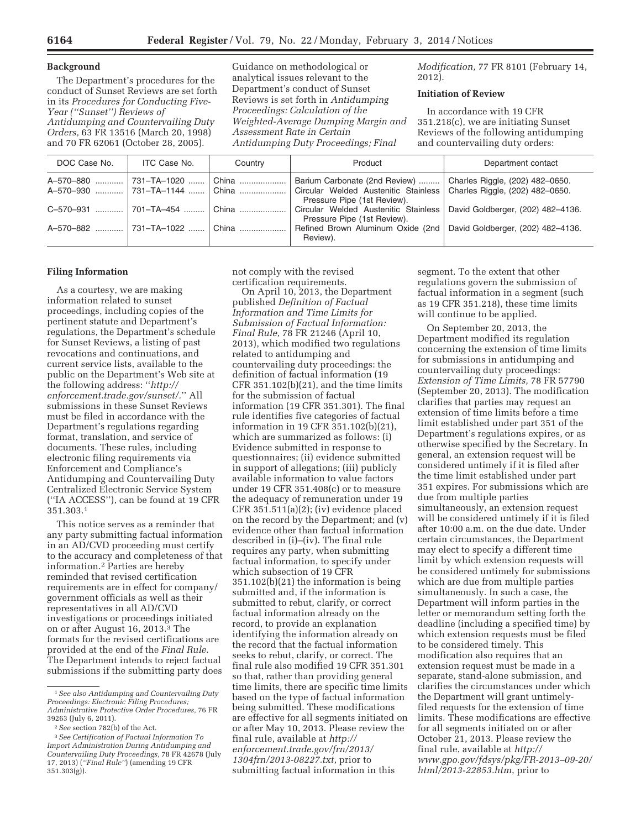# **Background**

The Department's procedures for the conduct of Sunset Reviews are set forth in its *Procedures for Conducting Five-Year (''Sunset'') Reviews of Antidumping and Countervailing Duty Orders,* 63 FR 13516 (March 20, 1998) and 70 FR 62061 (October 28, 2005).

Guidance on methodological or analytical issues relevant to the Department's conduct of Sunset Reviews is set forth in *Antidumping Proceedings: Calculation of the Weighted-Average Dumping Margin and Assessment Rate in Certain Antidumping Duty Proceedings; Final* 

*Modification,* 77 FR 8101 (February 14, 2012).

### **Initiation of Review**

In accordance with 19 CFR 351.218(c), we are initiating Sunset Reviews of the following antidumping and countervailing duty orders:

| DOC Case No.                               | ITC Case No.          | Country | Product                                                                                                                                | Department contact                |
|--------------------------------------------|-----------------------|---------|----------------------------------------------------------------------------------------------------------------------------------------|-----------------------------------|
| A-570-880<br>A-570-930  731-TA-1144  China | 731–TA–1020    China  |         | Barium Carbonate (2nd Review)<br>Circular Welded Austenitic Stainless   Charles Riggle, (202) 482–0650.<br>Pressure Pipe (1st Review). | Charles Riggle, (202) 482-0650.   |
| $C - 570 - 931$                            | 「701–TA–454   「 China |         | Circular Welded Austenitic Stainless<br>Pressure Pipe (1st Review).                                                                    | David Goldberger, (202) 482-4136. |
| A-570-882                                  | 731–TA–1022    China  |         | Refined Brown Aluminum Oxide (2nd)<br>Review).                                                                                         | David Goldberger, (202) 482-4136. |

# **Filing Information**

As a courtesy, we are making information related to sunset proceedings, including copies of the pertinent statute and Department's regulations, the Department's schedule for Sunset Reviews, a listing of past revocations and continuations, and current service lists, available to the public on the Department's Web site at the following address: ''*http:// enforcement.trade.gov/sunset/.*'' All submissions in these Sunset Reviews must be filed in accordance with the Department's regulations regarding format, translation, and service of documents. These rules, including electronic filing requirements via Enforcement and Compliance's Antidumping and Countervailing Duty Centralized Electronic Service System (''IA ACCESS''), can be found at 19 CFR 351.303.1

This notice serves as a reminder that any party submitting factual information in an AD/CVD proceeding must certify to the accuracy and completeness of that information.2 Parties are hereby reminded that revised certification requirements are in effect for company/ government officials as well as their representatives in all AD/CVD investigations or proceedings initiated on or after August 16, 2013.3 The formats for the revised certifications are provided at the end of the *Final Rule.*  The Department intends to reject factual submissions if the submitting party does

not comply with the revised certification requirements.

On April 10, 2013, the Department published *Definition of Factual Information and Time Limits for Submission of Factual Information: Final Rule,* 78 FR 21246 (April 10, 2013), which modified two regulations related to antidumping and countervailing duty proceedings: the definition of factual information (19 CFR 351.102(b)(21), and the time limits for the submission of factual information (19 CFR 351.301). The final rule identifies five categories of factual information in 19 CFR 351.102(b)(21), which are summarized as follows: (i) Evidence submitted in response to questionnaires; (ii) evidence submitted in support of allegations; (iii) publicly available information to value factors under 19 CFR 351.408(c) or to measure the adequacy of remuneration under 19 CFR 351.511(a)(2); (iv) evidence placed on the record by the Department; and (v) evidence other than factual information described in (i)–(iv). The final rule requires any party, when submitting factual information, to specify under which subsection of 19 CFR 351.102(b)(21) the information is being submitted and, if the information is submitted to rebut, clarify, or correct factual information already on the record, to provide an explanation identifying the information already on the record that the factual information seeks to rebut, clarify, or correct. The final rule also modified 19 CFR 351.301 so that, rather than providing general time limits, there are specific time limits based on the type of factual information being submitted. These modifications are effective for all segments initiated on or after May 10, 2013. Please review the final rule, available at *http:// enforcement.trade.gov/frn/2013/ 1304frn/2013-08227.txt*, prior to submitting factual information in this

segment. To the extent that other regulations govern the submission of factual information in a segment (such as 19 CFR 351.218), these time limits will continue to be applied.

On September 20, 2013, the Department modified its regulation concerning the extension of time limits for submissions in antidumping and countervailing duty proceedings: *Extension of Time Limits,* 78 FR 57790 (September 20, 2013). The modification clarifies that parties may request an extension of time limits before a time limit established under part 351 of the Department's regulations expires, or as otherwise specified by the Secretary. In general, an extension request will be considered untimely if it is filed after the time limit established under part 351 expires. For submissions which are due from multiple parties simultaneously, an extension request will be considered untimely if it is filed after 10:00 a.m. on the due date. Under certain circumstances, the Department may elect to specify a different time limit by which extension requests will be considered untimely for submissions which are due from multiple parties simultaneously. In such a case, the Department will inform parties in the letter or memorandum setting forth the deadline (including a specified time) by which extension requests must be filed to be considered timely. This modification also requires that an extension request must be made in a separate, stand-alone submission, and clarifies the circumstances under which the Department will grant untimelyfiled requests for the extension of time limits. These modifications are effective for all segments initiated on or after October 21, 2013. Please review the final rule, available at *http:// www.gpo.gov/fdsys/pkg/FR-2013–09-20/ html/2013-22853.htm*, prior to

<sup>1</sup>*See also Antidumping and Countervailing Duty Proceedings: Electronic Filing Procedures; Administrative Protective Order Procedures,* 76 FR 39263 (July 6, 2011).

<sup>2</sup>*See* section 782(b) of the Act.

<sup>3</sup>*See Certification of Factual Information To Import Administration During Antidumping and Countervailing Duty Proceedings,* 78 FR 42678 (July 17, 2013) (*''Final Rule''*) (amending 19 CFR 351.303(g)).